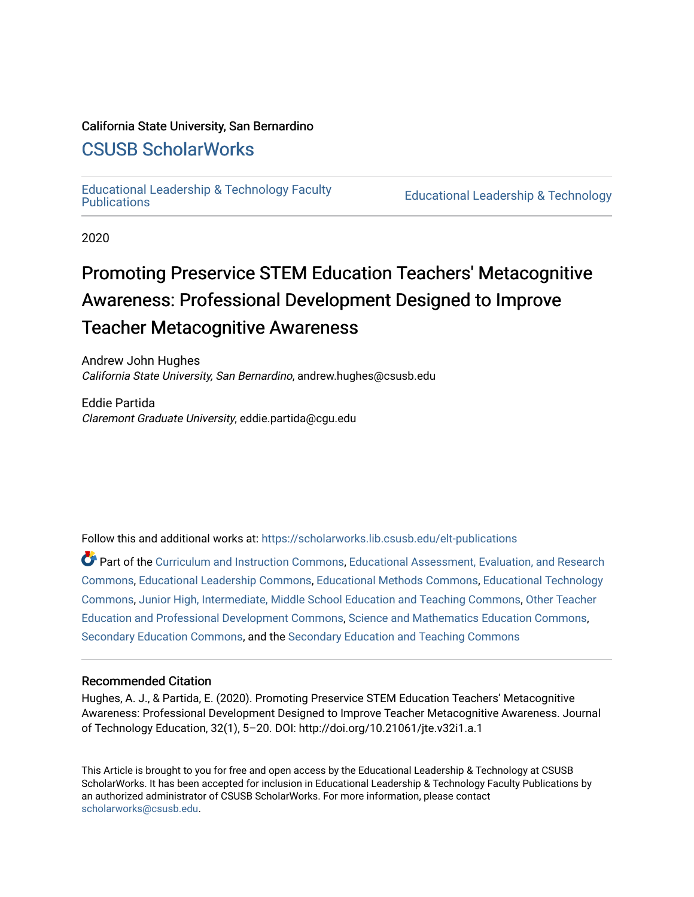# California State University, San Bernardino

# [CSUSB ScholarWorks](https://scholarworks.lib.csusb.edu/)

[Educational Leadership & Technology Faculty](https://scholarworks.lib.csusb.edu/elt-publications) 

**Educational Leadership & Technology** 

2020

# Promoting Preservice STEM Education Teachers' Metacognitive Awareness: Professional Development Designed to Improve Teacher Metacognitive Awareness

Andrew John Hughes California State University, San Bernardino, andrew.hughes@csusb.edu

Eddie Partida Claremont Graduate University, eddie.partida@cgu.edu

Follow this and additional works at: [https://scholarworks.lib.csusb.edu/elt-publications](https://scholarworks.lib.csusb.edu/elt-publications?utm_source=scholarworks.lib.csusb.edu%2Felt-publications%2F6&utm_medium=PDF&utm_campaign=PDFCoverPages) 

Part of the [Curriculum and Instruction Commons,](http://network.bepress.com/hgg/discipline/786?utm_source=scholarworks.lib.csusb.edu%2Felt-publications%2F6&utm_medium=PDF&utm_campaign=PDFCoverPages) [Educational Assessment, Evaluation, and Research](http://network.bepress.com/hgg/discipline/796?utm_source=scholarworks.lib.csusb.edu%2Felt-publications%2F6&utm_medium=PDF&utm_campaign=PDFCoverPages)  [Commons](http://network.bepress.com/hgg/discipline/796?utm_source=scholarworks.lib.csusb.edu%2Felt-publications%2F6&utm_medium=PDF&utm_campaign=PDFCoverPages), [Educational Leadership Commons,](http://network.bepress.com/hgg/discipline/1230?utm_source=scholarworks.lib.csusb.edu%2Felt-publications%2F6&utm_medium=PDF&utm_campaign=PDFCoverPages) [Educational Methods Commons,](http://network.bepress.com/hgg/discipline/1227?utm_source=scholarworks.lib.csusb.edu%2Felt-publications%2F6&utm_medium=PDF&utm_campaign=PDFCoverPages) [Educational Technology](http://network.bepress.com/hgg/discipline/1415?utm_source=scholarworks.lib.csusb.edu%2Felt-publications%2F6&utm_medium=PDF&utm_campaign=PDFCoverPages) [Commons](http://network.bepress.com/hgg/discipline/1415?utm_source=scholarworks.lib.csusb.edu%2Felt-publications%2F6&utm_medium=PDF&utm_campaign=PDFCoverPages), [Junior High, Intermediate, Middle School Education and Teaching Commons,](http://network.bepress.com/hgg/discipline/807?utm_source=scholarworks.lib.csusb.edu%2Felt-publications%2F6&utm_medium=PDF&utm_campaign=PDFCoverPages) [Other Teacher](http://network.bepress.com/hgg/discipline/810?utm_source=scholarworks.lib.csusb.edu%2Felt-publications%2F6&utm_medium=PDF&utm_campaign=PDFCoverPages) [Education and Professional Development Commons](http://network.bepress.com/hgg/discipline/810?utm_source=scholarworks.lib.csusb.edu%2Felt-publications%2F6&utm_medium=PDF&utm_campaign=PDFCoverPages), [Science and Mathematics Education Commons](http://network.bepress.com/hgg/discipline/800?utm_source=scholarworks.lib.csusb.edu%2Felt-publications%2F6&utm_medium=PDF&utm_campaign=PDFCoverPages), [Secondary Education Commons](http://network.bepress.com/hgg/discipline/1382?utm_source=scholarworks.lib.csusb.edu%2Felt-publications%2F6&utm_medium=PDF&utm_campaign=PDFCoverPages), and the [Secondary Education and Teaching Commons](http://network.bepress.com/hgg/discipline/809?utm_source=scholarworks.lib.csusb.edu%2Felt-publications%2F6&utm_medium=PDF&utm_campaign=PDFCoverPages) 

# Recommended Citation

Hughes, A. J., & Partida, E. (2020). Promoting Preservice STEM Education Teachers' Metacognitive Awareness: Professional Development Designed to Improve Teacher Metacognitive Awareness. Journal of Technology Education, 32(1), 5–20. DOI: http://doi.org/10.21061/jte.v32i1.a.1

This Article is brought to you for free and open access by the Educational Leadership & Technology at CSUSB ScholarWorks. It has been accepted for inclusion in Educational Leadership & Technology Faculty Publications by an authorized administrator of CSUSB ScholarWorks. For more information, please contact [scholarworks@csusb.edu](mailto:scholarworks@csusb.edu).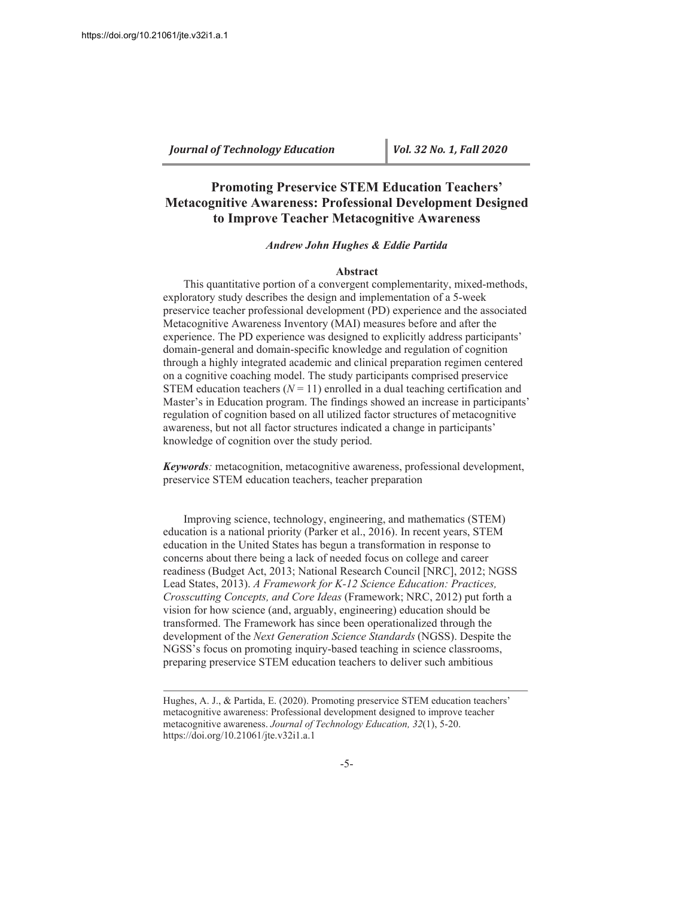# **Promoting Preservice STEM Education Teachers' Metacognitive Awareness: Professional Development Designed to Improve Teacher Metacognitive Awareness**

#### *Andrew John Hughes & Eddie Partida*

#### **Abstract**

This quantitative portion of a convergent complementarity, mixed-methods, exploratory study describes the design and implementation of a 5-week preservice teacher professional development (PD) experience and the associated Metacognitive Awareness Inventory (MAI) measures before and after the experience. The PD experience was designed to explicitly address participants' domain-general and domain-specific knowledge and regulation of cognition through a highly integrated academic and clinical preparation regimen centered on a cognitive coaching model. The study participants comprised preservice STEM education teachers  $(N = 11)$  enrolled in a dual teaching certification and Master's in Education program. The findings showed an increase in participants' regulation of cognition based on all utilized factor structures of metacognitive awareness, but not all factor structures indicated a change in participants' knowledge of cognition over the study period.

*Keywords*: metacognition, metacognitive awareness, professional development, preservice STEM education teachers, teacher preparation

Improving science, technology, engineering, and mathematics (STEM) education is a national priority (Parker et al., 2016). In recent years, STEM education in the United States has begun a transformation in response to concerns about there being a lack of needed focus on college and career readiness (Budget Act, 2013; National Research Council [NRC], 2012; NGSS Lead States, 2013). A Framework for K-12 Science Education: Practices, *Crosscutting Concepts, and Core Ideas* (Framework; NRC, 2012) put forth a vision for how science (and, arguably, engineering) education should be transformed. The Framework has since been operationalized through the development of the *Next Generation Science Standards* (NGSS). Despite the NGSS's focus on promoting inquiry-based teaching in science classrooms, preparing preservice STEM education teachers to deliver such ambitious

Hughes, A. J., & Partida, E. (2020). Promoting preservice STEM education teachers' metacognitive awareness: Professional development designed to improve teacher metacognitive awareness. Journal of Technology Education, 32(1), 5-20. https://doi.org/10.21061/jte.v32i1.a.1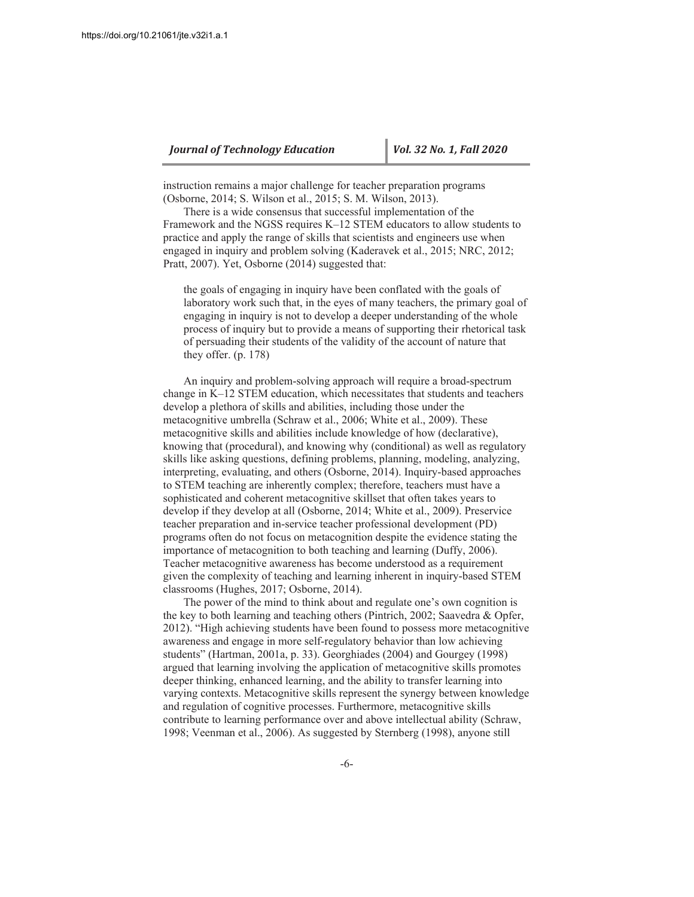instruction remains a major challenge for teacher preparation programs (Osborne, 2014; S. Wilson et al., 2015; S. M. Wilson, 2013).

There is a wide consensus that successful implementation of the Framework and the NGSS requires K-12 STEM educators to allow students to practice and apply the range of skills that scientists and engineers use when engaged in inquiry and problem solving (Kaderavek et al., 2015; NRC, 2012; Pratt, 2007). Yet, Osborne (2014) suggested that:

the goals of engaging in inquiry have been conflated with the goals of laboratory work such that, in the eyes of many teachers, the primary goal of engaging in inquiry is not to develop a deeper understanding of the whole process of inquiry but to provide a means of supporting their rhetorical task of persuading their students of the validity of the account of nature that they offer.  $(p. 178)$ 

An inquiry and problem-solving approach will require a broad-spectrum change in K-12 STEM education, which necessitates that students and teachers develop a plethora of skills and abilities, including those under the metacognitive umbrella (Schraw et al., 2006; White et al., 2009). These metacognitive skills and abilities include knowledge of how (declarative), knowing that (procedural), and knowing why (conditional) as well as regulatory skills like asking questions, defining problems, planning, modeling, analyzing, interpreting, evaluating, and others (Osborne, 2014). Inquiry-based approaches to STEM teaching are inherently complex; therefore, teachers must have a sophisticated and coherent metacognitive skillset that often takes years to develop if they develop at all (Osborne, 2014; White et al., 2009). Preservice teacher preparation and in-service teacher professional development (PD) programs often do not focus on metacognition despite the evidence stating the importance of metacognition to both teaching and learning (Duffy, 2006). Teacher metacognitive awareness has become understood as a requirement given the complexity of teaching and learning inherent in inquiry-based STEM classrooms (Hughes, 2017; Osborne, 2014).

The power of the mind to think about and regulate one's own cognition is the key to both learning and teaching others (Pintrich, 2002; Saavedra & Opfer, 2012). "High achieving students have been found to possess more metacognitive awareness and engage in more self-regulatory behavior than low achieving students" (Hartman, 2001a, p. 33). Georghiades (2004) and Gourgey (1998) argued that learning involving the application of metacognitive skills promotes deeper thinking, enhanced learning, and the ability to transfer learning into varying contexts. Metacognitive skills represent the synergy between knowledge and regulation of cognitive processes. Furthermore, metacognitive skills contribute to learning performance over and above intellectual ability (Schraw, 1998; Veenman et al., 2006). As suggested by Sternberg (1998), anyone still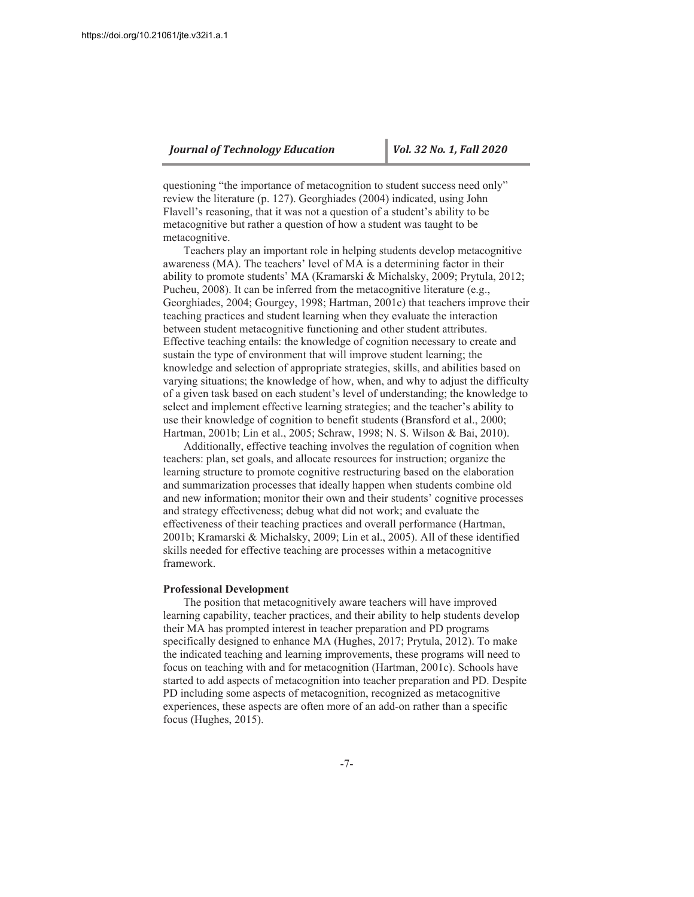questioning "the importance of metacognition to student success need only" review the literature (p. 127). Georghiades (2004) indicated, using John Flavell's reasoning, that it was not a question of a student's ability to be metacognitive but rather a question of how a student was taught to be metacognitive.

Teachers play an important role in helping students develop metacognitive awareness (MA). The teachers' level of MA is a determining factor in their ability to promote students' MA (Kramarski & Michalsky, 2009; Prytula, 2012; Pucheu, 2008). It can be inferred from the metacognitive literature (e.g., Georghiades, 2004; Gourgey, 1998; Hartman, 2001c) that teachers improve their teaching practices and student learning when they evaluate the interaction between student metacognitive functioning and other student attributes. Effective teaching entails: the knowledge of cognition necessary to create and sustain the type of environment that will improve student learning; the knowledge and selection of appropriate strategies, skills, and abilities based on varying situations; the knowledge of how, when, and why to adjust the difficulty of a given task based on each student's level of understanding; the knowledge to select and implement effective learning strategies; and the teacher's ability to use their knowledge of cognition to benefit students (Bransford et al., 2000; Hartman, 2001b; Lin et al., 2005; Schraw, 1998; N. S. Wilson & Bai, 2010).

Additionally, effective teaching involves the regulation of cognition when teachers: plan, set goals, and allocate resources for instruction; organize the learning structure to promote cognitive restructuring based on the elaboration and summarization processes that ideally happen when students combine old and new information; monitor their own and their students' cognitive processes and strategy effectiveness; debug what did not work; and evaluate the effectiveness of their teaching practices and overall performance (Hartman, 2001b; Kramarski & Michalsky, 2009; Lin et al., 2005). All of these identified skills needed for effective teaching are processes within a metacognitive framework.

#### **Professional Development**

The position that metacognitively aware teachers will have improved learning capability, teacher practices, and their ability to help students develop their MA has prompted interest in teacher preparation and PD programs specifically designed to enhance MA (Hughes, 2017; Prytula, 2012). To make the indicated teaching and learning improvements, these programs will need to focus on teaching with and for metacognition (Hartman, 2001c). Schools have started to add aspects of metacognition into teacher preparation and PD. Despite PD including some aspects of metacognition, recognized as metacognitive experiences, these aspects are often more of an add-on rather than a specific focus (Hughes, 2015).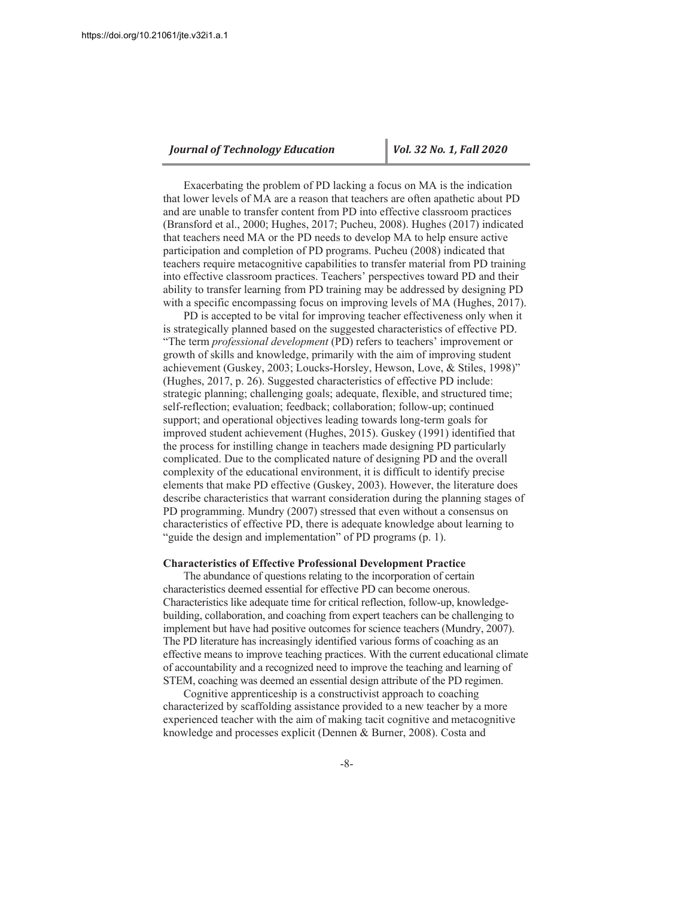Exacerbating the problem of PD lacking a focus on MA is the indication that lower levels of MA are a reason that teachers are often apathetic about PD and are unable to transfer content from PD into effective classroom practices (Bransford et al., 2000; Hughes, 2017; Pucheu, 2008). Hughes (2017) indicated that teachers need MA or the PD needs to develop MA to help ensure active participation and completion of PD programs. Pucheu (2008) indicated that teachers require metacognitive capabilities to transfer material from PD training into effective classroom practices. Teachers' perspectives toward PD and their ability to transfer learning from PD training may be addressed by designing PD with a specific encompassing focus on improving levels of MA (Hughes, 2017).

PD is accepted to be vital for improving teacher effectiveness only when it is strategically planned based on the suggested characteristics of effective PD. "The term professional development (PD) refers to teachers' improvement or growth of skills and knowledge, primarily with the aim of improving student achievement (Guskey, 2003; Loucks-Horsley, Hewson, Love, & Stiles, 1998)" (Hughes, 2017, p. 26). Suggested characteristics of effective PD include: strategic planning; challenging goals; adequate, flexible, and structured time; self-reflection; evaluation; feedback; collaboration; follow-up; continued support; and operational objectives leading towards long-term goals for improved student achievement (Hughes, 2015). Guskey (1991) identified that the process for instilling change in teachers made designing PD particularly complicated. Due to the complicated nature of designing PD and the overall complexity of the educational environment, it is difficult to identify precise elements that make PD effective (Guskey, 2003). However, the literature does describe characteristics that warrant consideration during the planning stages of PD programming. Mundry (2007) stressed that even without a consensus on characteristics of effective PD, there is adequate knowledge about learning to "guide the design and implementation" of PD programs (p. 1).

#### **Characteristics of Effective Professional Development Practice**

The abundance of questions relating to the incorporation of certain characteristics deemed essential for effective PD can become onerous. Characteristics like adequate time for critical reflection, follow-up, knowledgebuilding, collaboration, and coaching from expert teachers can be challenging to implement but have had positive outcomes for science teachers (Mundry, 2007). The PD literature has increasingly identified various forms of coaching as an effective means to improve teaching practices. With the current educational climate of accountability and a recognized need to improve the teaching and learning of STEM, coaching was deemed an essential design attribute of the PD regimen.

Cognitive apprenticeship is a constructivist approach to coaching characterized by scaffolding assistance provided to a new teacher by a more experienced teacher with the aim of making tacit cognitive and metacognitive knowledge and processes explicit (Dennen & Burner, 2008). Costa and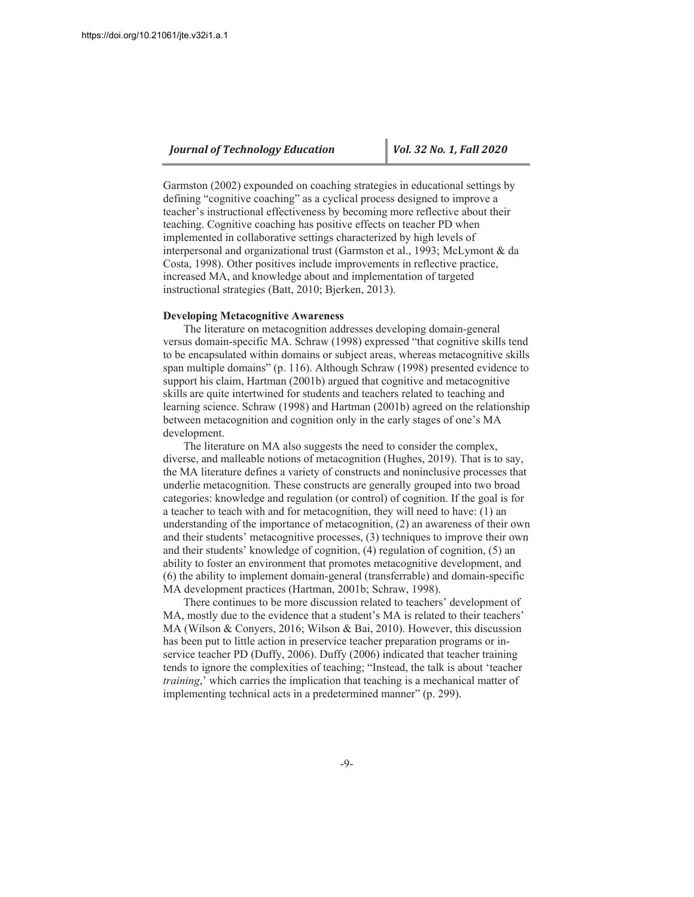Garmston (2002) expounded on coaching strategies in educational settings by defining "cognitive coaching" as a cyclical process designed to improve a teacher's instructional effectiveness by becoming more reflective about their teaching. Cognitive coaching has positive effects on teacher PD when implemented in collaborative settings characterized by high levels of interpersonal and organizational trust (Garmston et al., 1993; McLymont & da Costa, 1998). Other positives include improvements in reflective practice, increased MA, and knowledge about and implementation of targeted instructional strategies (Batt, 2010; Bjerken, 2013).

#### **Developing Metacognitive Awareness**

The literature on metacognition addresses developing domain-general versus domain-specific MA. Schraw (1998) expressed "that cognitive skills tend to be encapsulated within domains or subject areas, whereas metacognitive skills span multiple domains" (p. 116). Although Schraw (1998) presented evidence to support his claim, Hartman (2001b) argued that cognitive and metacognitive skills are quite intertwined for students and teachers related to teaching and learning science. Schraw (1998) and Hartman (2001b) agreed on the relationship between metacognition and cognition only in the early stages of one's MA development.

The literature on MA also suggests the need to consider the complex, diverse, and malleable notions of metacognition (Hughes, 2019). That is to say, the MA literature defines a variety of constructs and noninclusive processes that underlie metacognition. These constructs are generally grouped into two broad categories: knowledge and regulation (or control) of cognition. If the goal is for a teacher to teach with and for metacognition, they will need to have: (1) an understanding of the importance of metacognition,  $(2)$  an awareness of their own and their students' metacognitive processes, (3) techniques to improve their own and their students' knowledge of cognition, (4) regulation of cognition, (5) an ability to foster an environment that promotes metacognitive development, and (6) the ability to implement domain-general (transferrable) and domain-specific MA development practices (Hartman, 2001b; Schraw, 1998).

There continues to be more discussion related to teachers' development of MA, mostly due to the evidence that a student's MA is related to their teachers' MA (Wilson & Conyers, 2016; Wilson & Bai, 2010). However, this discussion has been put to little action in preservice teacher preparation programs or inservice teacher PD (Duffy, 2006). Duffy (2006) indicated that teacher training tends to ignore the complexities of teaching; "Instead, the talk is about 'teacher *training*,' which carries the implication that teaching is a mechanical matter of implementing technical acts in a predetermined manner" (p. 299).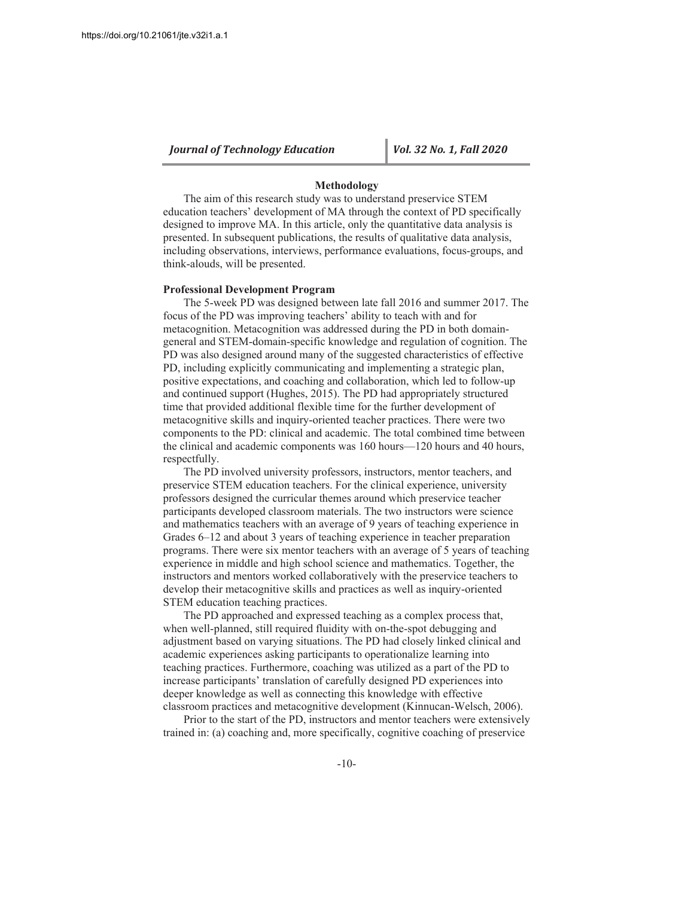#### Methodology

The aim of this research study was to understand preservice STEM education teachers' development of MA through the context of PD specifically designed to improve MA. In this article, only the quantitative data analysis is presented. In subsequent publications, the results of qualitative data analysis, including observations, interviews, performance evaluations, focus-groups, and think-alouds, will be presented.

#### **Professional Development Program**

The 5-week PD was designed between late fall 2016 and summer 2017. The focus of the PD was improving teachers' ability to teach with and for metacognition. Metacognition was addressed during the PD in both domaingeneral and STEM-domain-specific knowledge and regulation of cognition. The PD was also designed around many of the suggested characteristics of effective PD, including explicitly communicating and implementing a strategic plan, positive expectations, and coaching and collaboration, which led to follow-up and continued support (Hughes, 2015). The PD had appropriately structured time that provided additional flexible time for the further development of metacognitive skills and inquiry-oriented teacher practices. There were two components to the PD: clinical and academic. The total combined time between the clinical and academic components was 160 hours—120 hours and 40 hours, respectfully.

The PD involved university professors, instructors, mentor teachers, and preservice STEM education teachers. For the clinical experience, university professors designed the curricular themes around which preservice teacher participants developed classroom materials. The two instructors were science and mathematics teachers with an average of 9 years of teaching experience in Grades 6–12 and about 3 years of teaching experience in teacher preparation programs. There were six mentor teachers with an average of 5 years of teaching experience in middle and high school science and mathematics. Together, the instructors and mentors worked collaboratively with the preservice teachers to develop their metacognitive skills and practices as well as inquiry-oriented STEM education teaching practices.

The PD approached and expressed teaching as a complex process that, when well-planned, still required fluidity with on-the-spot debugging and adjustment based on varying situations. The PD had closely linked clinical and academic experiences asking participants to operationalize learning into teaching practices. Furthermore, coaching was utilized as a part of the PD to increase participants' translation of carefully designed PD experiences into deeper knowledge as well as connecting this knowledge with effective classroom practices and metacognitive development (Kinnucan-Welsch, 2006).

Prior to the start of the PD, instructors and mentor teachers were extensively trained in: (a) coaching and, more specifically, cognitive coaching of preservice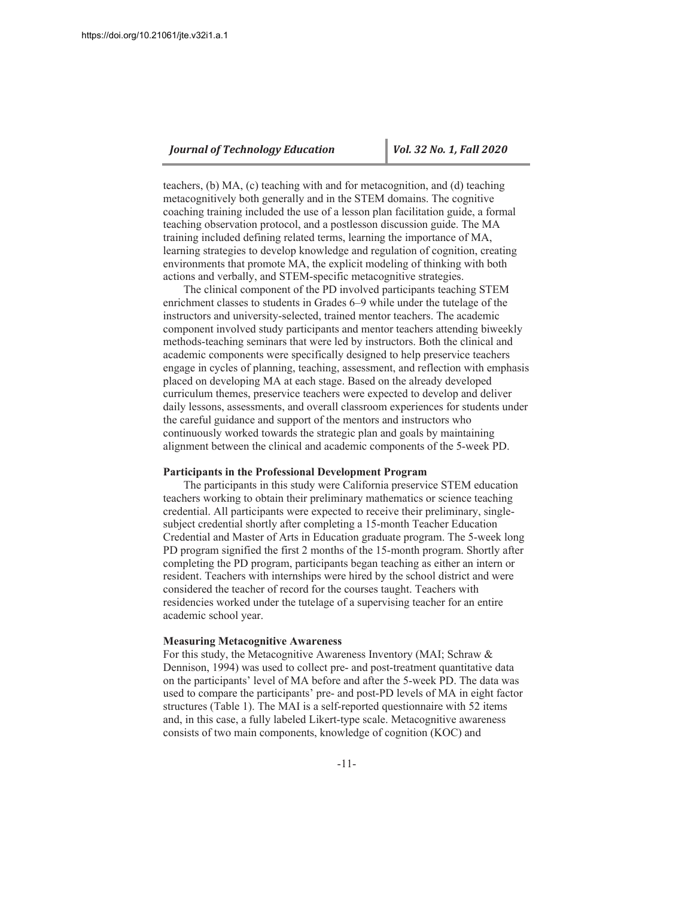teachers,  $(b)$  MA,  $(c)$  teaching with and for metacognition, and  $(d)$  teaching metacognitively both generally and in the STEM domains. The cognitive coaching training included the use of a lesson plan facilitation guide, a formal teaching observation protocol, and a postlesson discussion guide. The MA training included defining related terms, learning the importance of MA, Learning strategies to develop knowledge and regulation of cognition, creating environments that promote MA, the explicit modeling of thinking with both actions and verbally, and STEM-specific metacognitive strategies.

The clinical component of the PD involved participants teaching STEM enrichment classes to students in Grades 6–9 while under the tutelage of the instructors and university-selected, trained mentor teachers. The academic component involved study participants and mentor teachers attending biweekly methods-teaching seminars that were led by instructors. Both the clinical and academic components were specifically designed to help preservice teachers engage in cycles of planning, teaching, assessment, and reflection with emphasis placed on developing MA at each stage. Based on the already developed curriculum themes, preservice teachers were expected to develop and deliver daily lessons, assessments, and overall classroom experiences for students under the careful guidance and support of the mentors and instructors who continuously worked towards the strategic plan and goals by maintaining alignment between the clinical and academic components of the 5-week PD.

#### **Participants in the Professional Development Program**

The participants in this study were California preservice STEM education teachers working to obtain their preliminary mathematics or science teaching credential. All participants were expected to receive their preliminary, singlesubject credential shortly after completing a 15-month Teacher Education Credential and Master of Arts in Education graduate program. The 5-week long PD program signified the first 2 months of the 15-month program. Shortly after completing the PD program, participants began teaching as either an intern or resident. Teachers with internships were hired by the school district and were considered the teacher of record for the courses taught. Teachers with residencies worked under the tutelage of a supervising teacher for an entire academic school year.

#### **Measuring Metacognitive Awareness**

For this study, the Metacognitive Awareness Inventory (MAI; Schraw  $\&$ Dennison, 1994) was used to collect pre- and post-treatment quantitative data on the participants' level of MA before and after the 5-week PD. The data was used to compare the participants' pre- and post-PD levels of MA in eight factor structures (Table 1). The MAI is a self-reported questionnaire with 52 items and, in this case, a fully labeled Likert-type scale. Metacognitive awareness consists of two main components, knowledge of cognition (KOC) and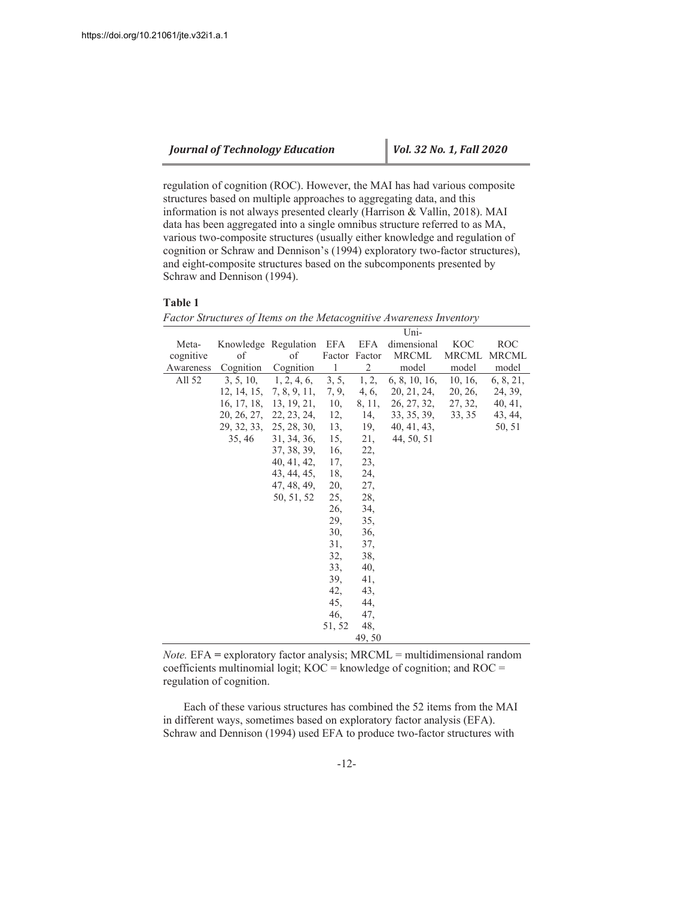regulation of cognition (ROC). However, the MAI has had various composite structures based on multiple approaches to aggregating data, and this information is not always presented clearly (Harrison & Vallin, 2018). MAI data has been aggregated into a single omnibus structure referred to as MA, various two-composite structures (usually either knowledge and regulation of cognition or Schraw and Dennison's (1994) exploratory two-factor structures), and eight-composite structures based on the subcomponents presented by Schraw and Dennison (1994).

#### **Table 1**

|           |                          |                       |              |                | Uni-                                                           |              |              |
|-----------|--------------------------|-----------------------|--------------|----------------|----------------------------------------------------------------|--------------|--------------|
| Meta-     | Knowledge Regulation EFA |                       |              | EFA            | dimensional                                                    | <b>KOC</b>   | <b>ROC</b>   |
| cognitive | of                       | οf                    |              | Factor Factor  | <b>MRCML</b>                                                   | <b>MRCML</b> | <b>MRCML</b> |
| Awareness | Cognition                | Cognition             | $\mathbf{1}$ | $\overline{2}$ | model                                                          | model        | model        |
| All 52    |                          | 3, 5, 10, 1, 2, 4, 6, | 3, 5,        | 1, 2,          | 6, 8, 10, 16,                                                  | 10, 16,      | 6, 8, 21,    |
|           |                          |                       |              |                | $12, 14, 15, 7, 8, 9, 11, 7, 9, 4, 6, 20, 21, 24,$             | 20, 26,      | 24, 39,      |
|           |                          |                       |              |                | 16, 17, 18, 13, 19, 21, 10, 8, 11, 26, 27, 32, 27, 32, 40, 41, |              |              |
|           |                          |                       |              |                | 20, 26, 27, 22, 23, 24, 12, 14, 33, 35, 39, 33, 35 43, 44,     |              |              |
|           |                          |                       |              |                | 29, 32, 33, 25, 28, 30, 13, 19, 40, 41, 43,                    |              | 50, 51       |
|           |                          | 35, 46 31, 34, 36,    | 15,          | 21,            | 44, 50, 51                                                     |              |              |
|           |                          | 37, 38, 39,           | 16,          | 22,            |                                                                |              |              |
|           |                          | 40, 41, 42, 17,       |              | 23,            |                                                                |              |              |
|           |                          | 43, 44, 45,           | 18,          | 24,            |                                                                |              |              |
|           |                          | 47, 48, 49,           | 20,          | 27,            |                                                                |              |              |
|           |                          | 50, 51, 52            | 25,          | 28,            |                                                                |              |              |
|           |                          |                       | 26,          | 34,            |                                                                |              |              |
|           |                          |                       | 29,          | 35,            |                                                                |              |              |
|           |                          |                       | 30,          | 36,            |                                                                |              |              |
|           |                          |                       | 31,          | 37,            |                                                                |              |              |
|           |                          |                       | 32,          | 38,            |                                                                |              |              |
|           |                          |                       | 33,          | 40,            |                                                                |              |              |
|           |                          |                       | 39,          | 41,            |                                                                |              |              |
|           |                          |                       | 42,          | 43,            |                                                                |              |              |
|           |                          |                       | 45,          | 44,            |                                                                |              |              |
|           |                          |                       | 46,          | 47.            |                                                                |              |              |
|           |                          |                       | 51, 52       | 48,            |                                                                |              |              |
|           |                          |                       |              | 49,50          |                                                                |              |              |

*Factor Structures of Items on the Metacognitive Awareness Inventory*

*Note.*  $EFA =$  exploratory factor analysis;  $MRCML =$  multidimensional random coefficients multinomial logit;  $KOC =$  knowledge of cognition; and  $ROC =$ regulation of cognition.

Each of these various structures has combined the 52 items from the MAI in different ways, sometimes based on exploratory factor analysis (EFA). Schraw and Dennison (1994) used EFA to produce two-factor structures with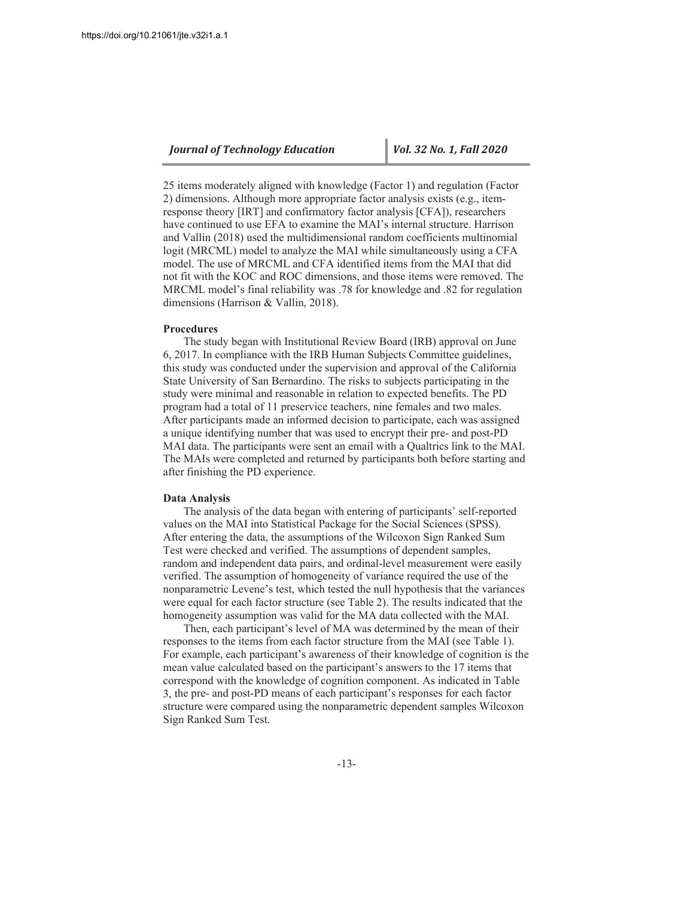25 items moderately aligned with knowledge (Factor 1) and regulation (Factor 2) dimensions. Although more appropriate factor analysis exists (e.g., itemresponse theory [IRT] and confirmatory factor analysis [CFA]), researchers have continued to use EFA to examine the MAI's internal structure. Harrison and Vallin (2018) used the multidimensional random coefficients multinomial logit (MRCML) model to analyze the MAI while simultaneously using a CFA model. The use of MRCML and CFA identified items from the MAI that did not fit with the KOC and ROC dimensions, and those items were removed. The MRCML model's final reliability was .78 for knowledge and .82 for regulation dimensions (Harrison & Vallin, 2018).

#### **Procedures**

The study began with Institutional Review Board (IRB) approval on June 6, 2017. In compliance with the IRB Human Subjects Committee guidelines, this study was conducted under the supervision and approval of the California State University of San Bernardino. The risks to subjects participating in the study were minimal and reasonable in relation to expected benefits. The PD program had a total of 11 preservice teachers, nine females and two males. After participants made an informed decision to participate, each was assigned a unique identifying number that was used to encrypt their pre- and post-PD MAI data. The participants were sent an email with a Qualtrics link to the MAI. The MAIs were completed and returned by participants both before starting and after finishing the PD experience.

#### **Data Analysis**

The analysis of the data began with entering of participants' self-reported values on the MAI into Statistical Package for the Social Sciences (SPSS). After entering the data, the assumptions of the Wilcoxon Sign Ranked Sum Test were checked and verified. The assumptions of dependent samples, random and independent data pairs, and ordinal-level measurement were easily verified. The assumption of homogeneity of variance required the use of the nonparametric Levene's test, which tested the null hypothesis that the variances were equal for each factor structure (see Table 2). The results indicated that the homogeneity assumption was valid for the MA data collected with the MAI.

Then, each participant's level of MA was determined by the mean of their responses to the items from each factor structure from the MAI (see Table 1). For example, each participant's awareness of their knowledge of cognition is the mean value calculated based on the participant's answers to the 17 items that correspond with the knowledge of cognition component. As indicated in Table 3, the pre- and post-PD means of each participant's responses for each factor structure were compared using the nonparametric dependent samples Wilcoxon Sign Ranked Sum Test.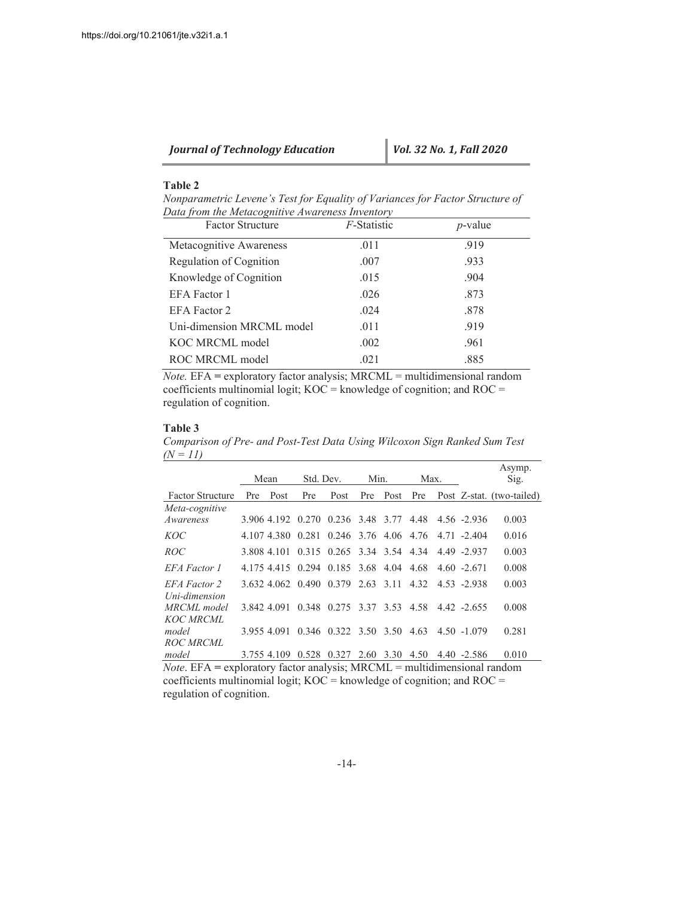| <b>Journal of Technology Education</b> | $\vert$ Vol. 32 No. 1, Fall 2020 |
|----------------------------------------|----------------------------------|
|----------------------------------------|----------------------------------|

# **Table 2**

*Nonparametric Levene's Test for Equality of Variances for Factor Structure of Data from the Metacognitive Awareness Inventory* 

| <b>Factor Structure</b>   | <i>F</i> -Statistic | $p$ -value |
|---------------------------|---------------------|------------|
| Metacognitive Awareness   | .011                | .919       |
| Regulation of Cognition   | .007                | .933       |
| Knowledge of Cognition    | .015                | .904       |
| <b>EFA</b> Factor 1       | .026                | .873       |
| <b>EFA</b> Factor 2       | .024                | .878       |
| Uni-dimension MRCML model | .011                | .919       |
| KOC MRCML model           | .002                | .961       |
| ROC MRCML model           | .021                | .885       |

*Note.*  $EFA =$  exploratory factor analysis;  $MRCML =$  multidimensional random coefficients multinomial logit;  $KOC =$  knowledge of cognition; and  $ROC =$ regulation of cognition.

## **Table 3**

*Comparison of Pre- and Post-Test Data Using Wilcoxon Sign Ranked Sum Test*   $(N = 11)$ 

|                               | Mean |             | Std. Dev. |                                        | Min. |      | Max. |  |                | Asymp.<br>Sig.            |  |
|-------------------------------|------|-------------|-----------|----------------------------------------|------|------|------|--|----------------|---------------------------|--|
| <b>Factor Structure</b>       | Pre  | Post        | Pre       | Post                                   | Pre  | Post | Pre  |  |                | Post Z-stat. (two-tailed) |  |
| Meta-cognitive<br>Awareness   |      |             |           | 3.906 4.192 0.270 0.236 3.48 3.77 4.48 |      |      |      |  | 4.56 -2.936    | 0.003                     |  |
| <i>KOC</i>                    |      |             |           | 4.107 4.380 0.281 0.246 3.76 4.06 4.76 |      |      |      |  | $4.71 - 2.404$ | 0.016                     |  |
| ROC                           |      |             |           | 3.808 4.101 0.315 0.265 3.34 3.54 4.34 |      |      |      |  | 4.49 -2.937    | 0.003                     |  |
| EFA Factor 1                  |      |             |           | 4.175 4.415 0.294 0.185 3.68 4.04 4.68 |      |      |      |  | $4.60 - 2.671$ | 0.008                     |  |
| EFA Factor 2<br>Uni-dimension |      |             |           | 3.632 4.062 0.490 0.379 2.63 3.11 4.32 |      |      |      |  | 4.53 -2.938    | 0.003                     |  |
| MRCML model<br>KOC MRCML      |      | 3.842 4.091 |           | 0.348 0.275 3.37 3.53 4.58             |      |      |      |  | $4.42 - 2.655$ | 0.008                     |  |
| model<br>ROC MRCML            |      | 3.955 4.091 |           | $0.346$ $0.322$ $3.50$ $3.50$          |      |      | 4.63 |  | $4.50 - 1.079$ | 0.281                     |  |
| model                         |      | 3.755 4.109 | 0.528     | 0.327                                  | 2.60 | 3.30 | 4.50 |  | $4.40 - 2.586$ | 0.010                     |  |

*Note*. EFA = exploratory factor analysis; MRCML = multidimensional random coefficients multinomial logit;  $KOC =$  knowledge of cognition; and  $ROC =$ regulation of cognition.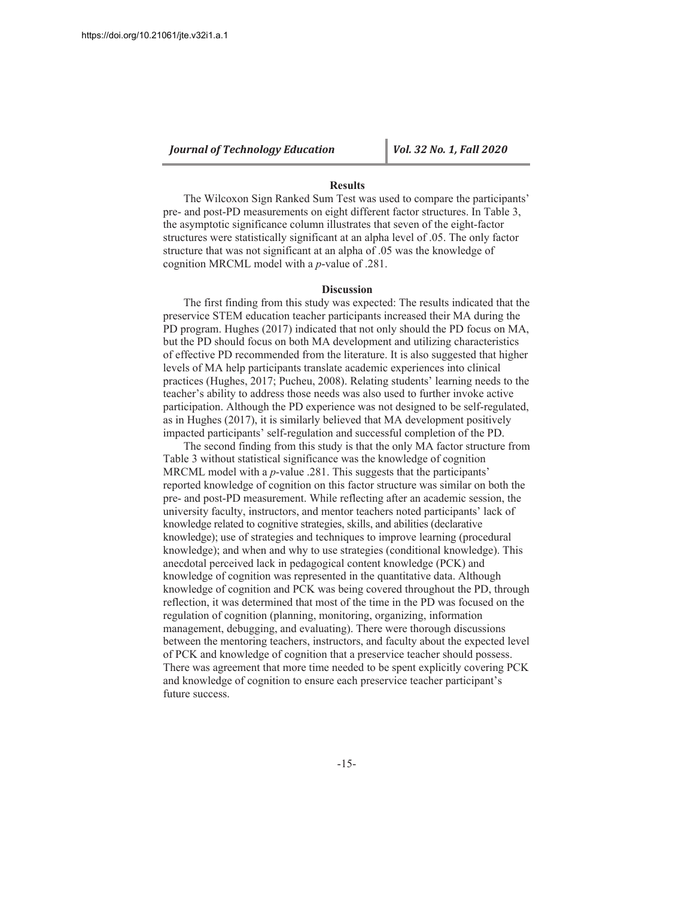#### **Results**

The Wilcoxon Sign Ranked Sum Test was used to compare the participants' pre- and post-PD measurements on eight different factor structures. In Table 3, the asymptotic significance column illustrates that seven of the eight-factor structures were statistically significant at an alpha level of .05. The only factor structure that was not significant at an alpha of 0.05 was the knowledge of cognition MRCML model with a  $p$ -value of .281.

#### **Discussion**

The first finding from this study was expected: The results indicated that the preservice STEM education teacher participants increased their MA during the PD program. Hughes (2017) indicated that not only should the PD focus on MA, but the PD should focus on both MA development and utilizing characteristics of effective PD recommended from the literature. It is also suggested that higher levels of MA help participants translate academic experiences into clinical practices (Hughes, 2017; Pucheu, 2008). Relating students' learning needs to the teacher's ability to address those needs was also used to further invoke active participation. Although the PD experience was not designed to be self-regulated, as in Hughes (2017), it is similarly believed that MA development positively impacted participants' self-regulation and successful completion of the PD.

The second finding from this study is that the only MA factor structure from Table 3 without statistical significance was the knowledge of cognition MRCML model with a  $p$ -value .281. This suggests that the participants' reported knowledge of cognition on this factor structure was similar on both the pre- and post-PD measurement. While reflecting after an academic session, the university faculty, instructors, and mentor teachers noted participants' lack of knowledge related to cognitive strategies, skills, and abilities (declarative knowledge); use of strategies and techniques to improve learning (procedural knowledge); and when and why to use strategies (conditional knowledge). This anecdotal perceived lack in pedagogical content knowledge (PCK) and knowledge of cognition was represented in the quantitative data. Although knowledge of cognition and PCK was being covered throughout the PD, through reflection, it was determined that most of the time in the PD was focused on the regulation of cognition (planning, monitoring, organizing, information management, debugging, and evaluating). There were thorough discussions between the mentoring teachers, instructors, and faculty about the expected level of PCK and knowledge of cognition that a preservice teacher should possess. There was agreement that more time needed to be spent explicitly covering PCK and knowledge of cognition to ensure each preservice teacher participant's future success.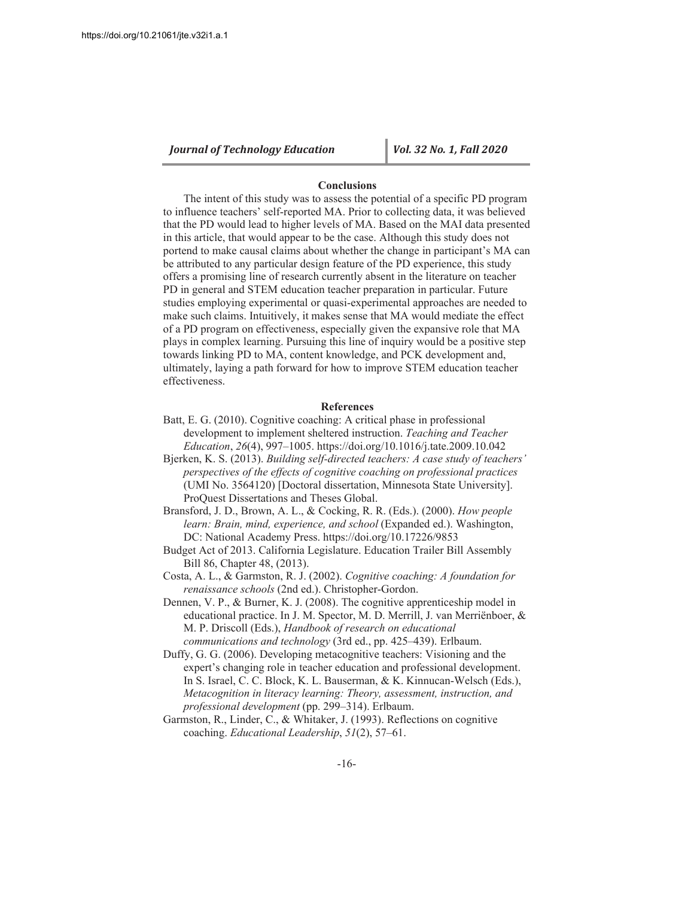#### **Conclusions**

The intent of this study was to assess the potential of a specific PD program to influence teachers' self-reported MA. Prior to collecting data, it was believed that the PD would lead to higher levels of MA. Based on the MAI data presented in this article, that would appear to be the case. Although this study does not portend to make causal claims about whether the change in participant's MA can be attributed to any particular design feature of the PD experience, this study offers a promising line of research currently absent in the literature on teacher PD in general and STEM education teacher preparation in particular. Future studies employing experimental or quasi-experimental approaches are needed to make such claims. Intuitively, it makes sense that MA would mediate the effect of a PD program on effectiveness, especially given the expansive role that MA plays in complex learning. Pursuing this line of inquiry would be a positive step towards linking PD to MA, content knowledge, and PCK development and, ultimately, laying a path forward for how to improve STEM education teacher effectiveness.

#### **References**

- Batt, E. G. (2010). Cognitive coaching: A critical phase in professional development to implement sheltered instruction. Teaching and Teacher *Education, 26(4), 997–1005. https://doi.org/10.1016/j.tate.2009.10.042*
- Bjerken, K. S. (2013). Building self-directed teachers: A case study of teachers' perspectives of the effects of cognitive coaching on professional practices (UMI No. 3564120) [Doctoral dissertation, Minnesota State University]. ProQuest Dissertations and Theses Global.
- Bransford, J. D., Brown, A. L., & Cocking, R. R. (Eds.). (2000). How people learn: Brain, mind, experience, and school (Expanded ed.). Washington, DC: National Academy Press. https://doi.org/10.17226/9853
- Budget Act of 2013. California Legislature. Education Trailer Bill Assembly Bill 86, Chapter 48, (2013).
- Costa, A. L., & Garmston, R. J. (2002). Cognitive coaching: A foundation for *renaissance schools* (2nd ed.). Christopher-Gordon.
- Dennen, V. P., & Burner, K. J. (2008). The cognitive apprenticeship model in educational practice. In J. M. Spector, M. D. Merrill, J. van Merriënboer, & M. P. Driscoll (Eds.), Handbook of research on educational communications and technology (3rd ed., pp. 425-439). Erlbaum.
- Duffy, G. G. (2006). Developing metacognitive teachers: Visioning and the expert's changing role in teacher education and professional development. In S. Israel, C. C. Block, K. L. Bauserman, & K. Kinnucan-Welsch (Eds.), Metacognition in literacy learning: Theory, assessment, instruction, and professional development (pp. 299-314). Erlbaum.
- Garmston, R., Linder, C., & Whitaker, J. (1993). Reflections on cognitive coaching. *Educational Leadership*, 51(2), 57–61.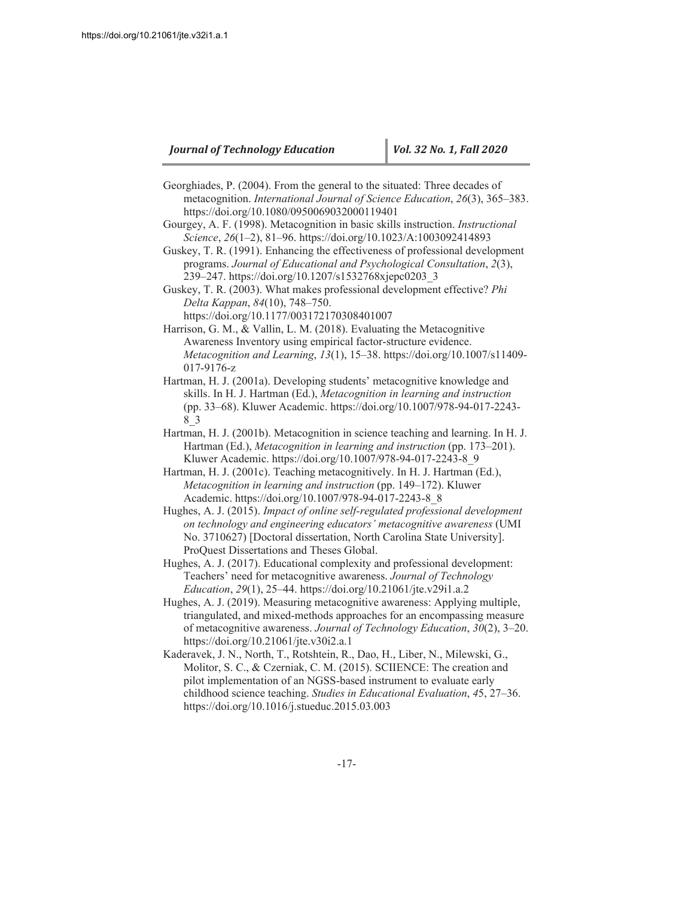Georghiades, P. (2004). From the general to the situated: Three decades of metacognition. International Journal of Science Education, 26(3), 365-383. https://doi.org/10.1080/0950069032000119401

Gourgey, A. F. (1998). Metacognition in basic skills instruction. *Instructional* Science, 26(1-2), 81-96. https://doi.org/10.1023/A:1003092414893

Guskey, T. R. (1991). Enhancing the effectiveness of professional development programs. Journal of Educational and Psychological Consultation, 2(3), 239-247. https://doi.org/10.1207/s1532768xjepc0203 3

Guskey, T. R. (2003). What makes professional development effective? *Phi* Delta Kappan, 84(10), 748-750. https://doi.org/10.1177/003172170308401007

Harrison, G. M., & Vallin, L. M. (2018). Evaluating the Metacognitive Awareness Inventory using empirical factor-structure evidence. *Metacognition and Learning*, 13(1), 15-38. https://doi.org/10.1007/s11409-017-9176-z

Hartman, H. J. (2001a). Developing students' metacognitive knowledge and skills. In H. J. Hartman (Ed.), *Metacognition in learning and instruction* (pp. 33–68). Kluwer Academic. https://doi.org/10.1007/978-94-017-2243-8 3

Hartman, H. J. (2001b). Metacognition in science teaching and learning. In H. J. Hartman (Ed.), *Metacognition in learning and instruction* (pp. 173–201). Kluwer Academic. https://doi.org/10.1007/978-94-017-2243-8 9

Hartman, H. J. (2001c). Teaching metacognitively. In H. J. Hartman (Ed.), *Metacognition in learning and instruction* (pp. 149–172). Kluwer Academic. https://doi.org/10.1007/978-94-017-2243-8\_8

Hughes, A. J. (2015). *Impact of online self-regulated professional development on technology and engineering educators' metacognitive awareness* (UMI No. 3710627) [Doctoral dissertation, North Carolina State University]. ProQuest Dissertations and Theses Global.

Hughes, A. J. (2017). Educational complexity and professional development: Teachers' need for metacognitive awareness. Journal of Technology *Education*, 29(1), 25–44. https://doi.org/10.21061/jte.v29i1.a.2

Hughes, A. J. (2019). Measuring metacognitive awareness: Applying multiple, triangulated, and mixed-methods approaches for an encompassing measure of metacognitive awareness. Journal of Technology Education, 30(2), 3–20. https://doi.org/10.21061/jte.v30i2.a.1

Kaderavek, J. N., North, T., Rotshtein, R., Dao, H., Liber, N., Milewski, G., Molitor, S. C., & Czerniak, C. M. (2015). SCIIENCE: The creation and pilot implementation of an NGSS-based instrument to evaluate early childhood science teaching. Studies in Educational Evaluation, 45, 27–36. https://doi.org/10.1016/j.stueduc.2015.03.003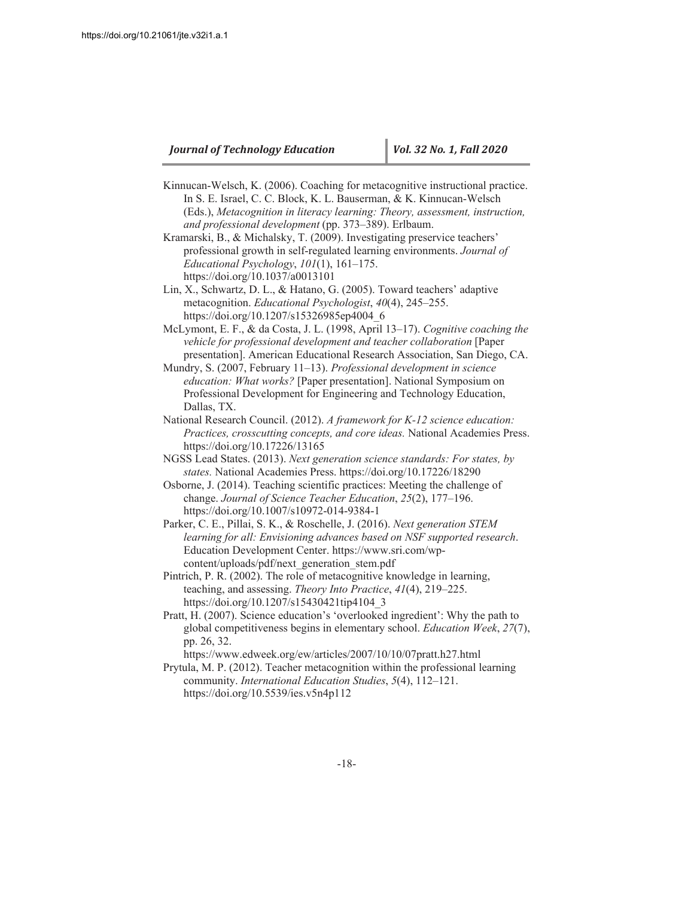- Kinnucan-Welsch, K. (2006). Coaching for metacognitive instructional practice. In S. E. Israel, C. C. Block, K. L. Bauserman, & K. Kinnucan-Welsch (Eds.), Metacognition in literacy learning: Theory, assessment, instruction, and professional development (pp. 373-389). Erlbaum.
- Kramarski, B., & Michalsky, T. (2009). Investigating preservice teachers' professional growth in self-regulated learning environments. *Journal of Educational Psychology*, 101(1), 161–175. https://doi.org/10.1037/a0013101
- Lin, X., Schwartz, D. L., & Hatano, G.  $(2005)$ . Toward teachers' adaptive metacognition. Educational Psychologist, 40(4), 245-255. https://doi.org/10.1207/s15326985ep4004 6
- McLymont, E. F., & da Costa, J. L. (1998, April 13-17). Cognitive coaching the *vehicle for professional development and teacher collaboration* [Paper presentation]. American Educational Research Association, San Diego, CA.
- Mundry, S. (2007, February 11–13). Professional development in science *education: What works?* [Paper presentation]. National Symposium on Professional Development for Engineering and Technology Education, Dallas, TX.
- National Research Council. (2012). A framework for K-12 science education: *Practices, crosscutting concepts, and core ideas.* National Academies Press. https://doi.org/10.17226/13165
- NGSS Lead States. (2013). *Next generation science standards: For states, by* states. National Academies Press. https://doi.org/10.17226/18290
- Osborne, J. (2014). Teaching scientific practices: Meeting the challenge of change. Journal of Science Teacher Education, 25(2), 177-196. https://doi.org/10.1007/s10972-014-9384-1
- Parker, C. E., Pillai, S. K., & Roschelle, J. (2016). Next generation STEM *learning for all: Envisioning advances based on NSF supported research* Education Development Center. https://www.sri.com/wpcontent/uploads/pdf/next generation stem.pdf
- Pintrich, P. R. (2002). The role of metacognitive knowledge in learning, teaching, and assessing. *Theory Into Practice*,  $41(4)$ ,  $219-225$ . https://doi.org/10.1207/s15430421tip4104 3
- Pratt, H. (2007). Science education's 'overlooked ingredient': Why the path to global competitiveness begins in elementary school. Education Week, 27(7), pp. 26, 32.
	- https://www.edweek.org/ew/articles/2007/10/10/07pratt.h27.html
- Prytula, M. P. (2012). Teacher metacognition within the professional learning community. *International Education Studies*, 5(4), 112–121. https://doi.org/10.5539/ies.v5n4p112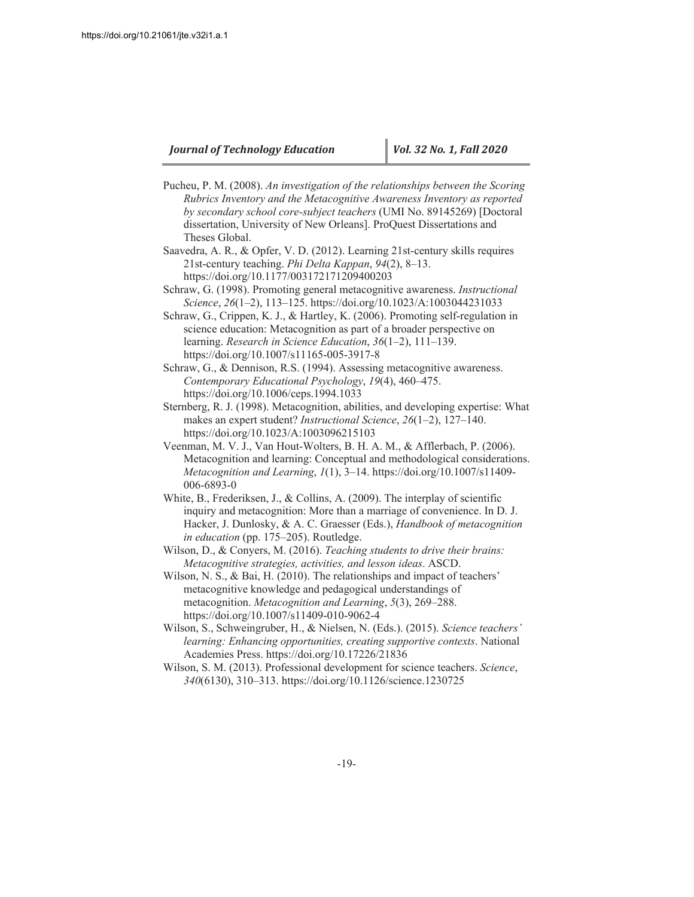- Pucheu, P. M. (2008). An investigation of the relationships between the Scoring *Rubrics Inventory and the Metacognitive Awareness Inventory as reported by secondary school core-subject teachers* (UMI No. 89145269) [Doctoral dissertation, University of New Orleans]. ProQuest Dissertations and Theses Global.
- Saavedra, A. R., & Opfer, V. D. (2012). Learning 21st-century skills requires 21st-century teaching. Phi Delta Kappan, 94(2), 8–13. https://doi.org/10.1177/003172171209400203
- Schraw, G. (1998). Promoting general metacognitive awareness. *Instructional* Science, 26(1-2), 113-125. https://doi.org/10.1023/A:1003044231033
- Schraw, G., Crippen, K. J., & Hartley, K. (2006). Promoting self-regulation in science education: Metacognition as part of a broader perspective on learning. Research in Science Education, 36(1-2), 111-139. https://doi.org/10.1007/s11165-005-3917-8
- Schraw, G., & Dennison, R.S. (1994). Assessing metacognitive awareness. *Contemporary Educational Psychology*, 19(4), 460–475. https://doi.org/10.1006/ceps.1994.1033
- Sternberg, R. J. (1998). Metacognition, abilities, and developing expertise: What makes an expert student? *Instructional Science*, 26(1–2), 127–140. https://doi.org/10.1023/A:1003096215103
- Veenman, M. V. J., Van Hout-Wolters, B. H. A. M., & Afflerbach, P. (2006). Metacognition and learning: Conceptual and methodological considerations. *Metacognition and Learning*,  $I(1)$ ,  $3-14$ . https://doi.org/10.1007/s11409-006-6893-0
- White, B., Frederiksen, J., & Collins, A.  $(2009)$ . The interplay of scientific inquiry and metacognition: More than a marriage of convenience. In D. J. Hacker, J. Dunlosky, & A. C. Graesser (Eds.), *Handbook of metacognition in education* (pp. 175–205). Routledge.
- Wilson, D., & Conyers, M. (2016). Teaching students to drive their brains: *Metacognitive strategies, activities, and lesson ideas. ASCD.*
- Wilson, N. S., & Bai, H.  $(2010)$ . The relationships and impact of teachers' metacognitive knowledge and pedagogical understandings of metacognition. *Metacognition and Learning*, 5(3), 269–288. https://doi.org/10.1007/s11409-010-9062-4
- Wilson, S., Schweingruber, H., & Nielsen, N. (Eds.). (2015). Science teachers' *learning: Enhancing opportunities, creating supportive contexts.* National Academies Press. https://doi.org/10.17226/21836
- Wilson, S. M. (2013). Professional development for science teachers. Science, 340(6130), 310–313. https://doi.org/10.1126/science.1230725